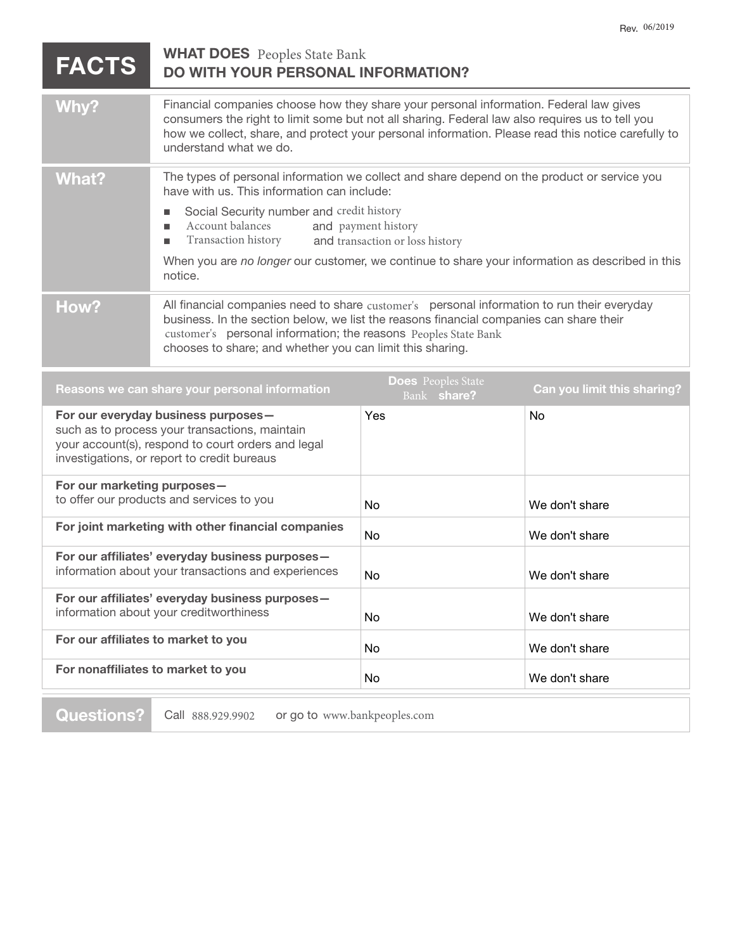| <b>FACTS</b>                                                                                                                                                                               | <b>WHAT DOES</b> Peoples State Bank<br><b>DO WITH YOUR PERSONAL INFORMATION?</b>                                                                                                                                                                                                                                          |     |                |
|--------------------------------------------------------------------------------------------------------------------------------------------------------------------------------------------|---------------------------------------------------------------------------------------------------------------------------------------------------------------------------------------------------------------------------------------------------------------------------------------------------------------------------|-----|----------------|
| Why?                                                                                                                                                                                       | Financial companies choose how they share your personal information. Federal law gives<br>consumers the right to limit some but not all sharing. Federal law also requires us to tell you<br>how we collect, share, and protect your personal information. Please read this notice carefully to<br>understand what we do. |     |                |
| <b>What?</b>                                                                                                                                                                               | The types of personal information we collect and share depend on the product or service you<br>have with us. This information can include:                                                                                                                                                                                |     |                |
|                                                                                                                                                                                            | Social Security number and credit history<br>Account balances<br>and payment history<br>п<br>Transaction history<br>and transaction or loss history<br>п                                                                                                                                                                  |     |                |
|                                                                                                                                                                                            | When you are no longer our customer, we continue to share your information as described in this<br>notice.                                                                                                                                                                                                                |     |                |
| How?                                                                                                                                                                                       | All financial companies need to share customer's personal information to run their everyday<br>business. In the section below, we list the reasons financial companies can share their<br>customer's personal information; the reasons Peoples State Bank<br>chooses to share; and whether you can limit this sharing.    |     |                |
| <b>Does</b> Peoples State<br>Reasons we can share your personal information<br>Can you limit this sharing?<br>Bank share?                                                                  |                                                                                                                                                                                                                                                                                                                           |     |                |
| For our everyday business purposes-<br>such as to process your transactions, maintain<br>your account(s), respond to court orders and legal<br>investigations, or report to credit bureaus |                                                                                                                                                                                                                                                                                                                           |     |                |
|                                                                                                                                                                                            |                                                                                                                                                                                                                                                                                                                           | Yes | No             |
| For our marketing purposes-                                                                                                                                                                | to offer our products and services to you                                                                                                                                                                                                                                                                                 | No  | We don't share |
|                                                                                                                                                                                            | For joint marketing with other financial companies                                                                                                                                                                                                                                                                        | No  | We don't share |
|                                                                                                                                                                                            | For our affiliates' everyday business purposes-<br>information about your transactions and experiences                                                                                                                                                                                                                    | No  | We don't share |
|                                                                                                                                                                                            | For our affiliates' everyday business purposes-<br>information about your creditworthiness                                                                                                                                                                                                                                | No  | We don't share |
| For our affiliates to market to you                                                                                                                                                        |                                                                                                                                                                                                                                                                                                                           | No  | We don't share |

Rev. 06/2019

**Questions?** Call 888.929.9902 or go to www.bankpeoples.com